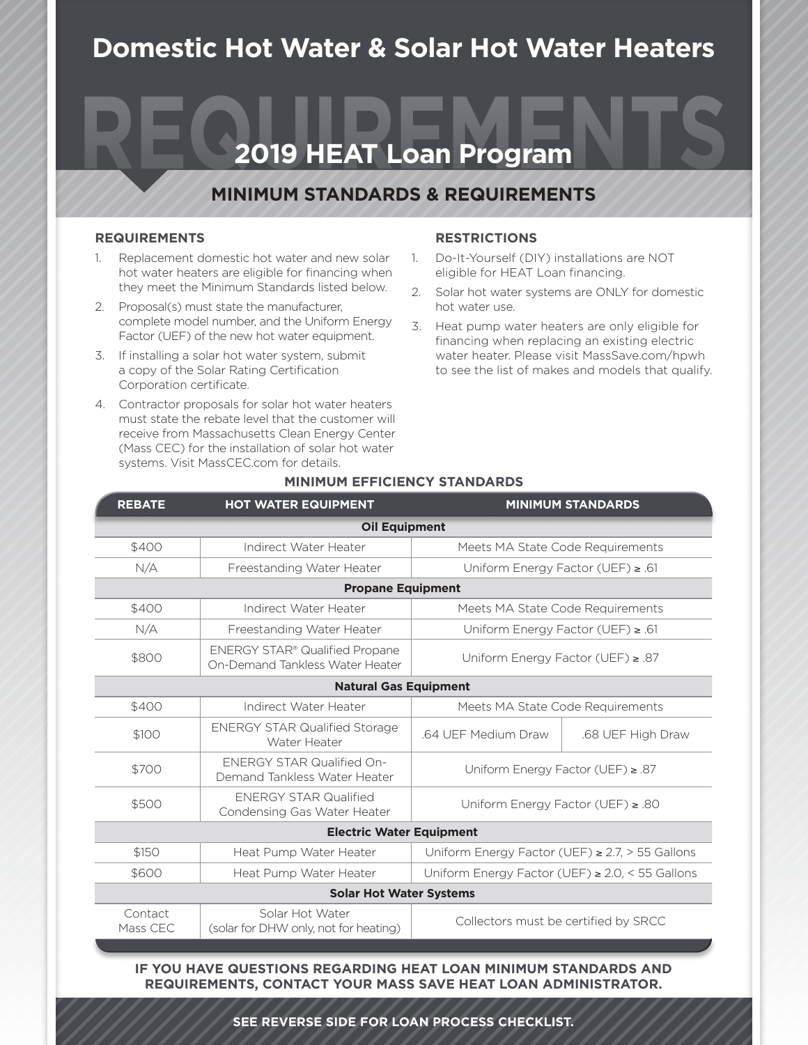## **Domestic Hot Water & Solar Hot Water Heaters**

# **2019 HEAT Loan Program**

### **MINIMUM STANDARDS & REQUIREMENTS**

#### **REQUIREMENTS**

- 1. Replacement domestic hot water and new solar hot water heaters are eligible for financing when they meet the Minimum Standards listed below.
- 2. Proposal(s) must state the manufacturer, complete model number, and the Uniform Energy Factor (UEF) of the new hot water equipment.
- 3. If installing a solar hot water system, submit a copy of the Solar Rating Certification Corporation certificate.
- 4. Contractor proposals for solar hot water heaters must state the rebate level that the customer will receive from Massachusetts Clean Energy Center (Mass CEC) for the installation of solar hot water systems. Visit MassCEC.com for details.

#### **RESTRICTIONS**

- 1. Do-It-Yourself (DIY) installations are NOT eligible for HEAT Loan financing.
- 2. Solar hot water systems are ONLY for domestic hot water use.
- 3. Heat pump water heaters are only eligible for financing when replacing an existing electric water heater. Please visit MassSave.com/hpwh to see the list of makes and models that qualify.

| <b>REBATE</b>       | <b>HOT WATER EQUIPMENT</b>                                               |                                                        | <b>MINIMUM STANDARDS</b> |
|---------------------|--------------------------------------------------------------------------|--------------------------------------------------------|--------------------------|
|                     | <b>Oil Equipment</b>                                                     |                                                        |                          |
| \$400               | Indirect Water Heater                                                    | Meets MA State Code Requirements                       |                          |
| N/A                 | Freestanding Water Heater                                                | Uniform Energy Factor (UEF) $\geq$ .61                 |                          |
|                     | <b>Propane Equipment</b>                                                 |                                                        |                          |
| \$400               | Indirect Water Heater                                                    | Meets MA State Code Requirements                       |                          |
| N/A                 | Freestanding Water Heater                                                | Uniform Energy Factor (UEF) ≥ .61                      |                          |
| \$800               | <b>ENERGY STAR® Qualified Propane</b><br>On-Demand Tankless Water Heater | Uniform Energy Factor (UEF) $\ge$ .87                  |                          |
|                     | <b>Natural Gas Equipment</b>                                             |                                                        |                          |
| \$400               | Indirect Water Heater                                                    | Meets MA State Code Requirements                       |                          |
| \$100               | <b>ENERGY STAR Qualified Storage</b><br>Water Heater                     | .64 UEF Medium Draw                                    | .68 UEF High Draw        |
| \$700               | <b>ENERGY STAR Qualified On-</b><br>Demand Tankless Water Heater         | Uniform Energy Factor (UEF) $\geq$ .87                 |                          |
| \$500               | <b>ENERGY STAR Qualified</b><br>Condensing Gas Water Heater              | Uniform Energy Factor (UEF) ≥ .80                      |                          |
|                     | <b>Electric Water Equipment</b>                                          |                                                        |                          |
| \$150               | Heat Pump Water Heater                                                   | Uniform Energy Factor (UEF) $\geq$ 2.7, $>$ 55 Gallons |                          |
| \$600               | Heat Pump Water Heater                                                   | Uniform Energy Factor (UEF) $\geq$ 2.0, < 55 Gallons   |                          |
|                     | <b>Solar Hot Water Systems</b>                                           |                                                        |                          |
| Contact<br>Mass CEC | Solar Hot Water<br>(solar for DHW only, not for heating)                 | Collectors must be certified by SRCC                   |                          |

#### **MINIMUM EFFICIENCY STANDARDS**

**CONTACT CLEARESULT, YOUR MASS SAVE HEAT LOAN ADMINISTRATOR.** IF YOU HAVE QUESTIONS REGARDING HEAT LOAN MINIMUM STANDARDS AND<br>**REQUIREMENTS, CONTACT YOUR MASS SAVE HEAT LOAN ADMINISTRATOR.**<br>SEE REVERSE SIDE FOR LOAN PROCESS CHECKLIST. **REQUIREMENTS, CONTACT YOUR MASS SAVE HEAT LOAN ADMINISTRATOR.**

**SEE REVERSE SIDE FOR LOAN PROCESS CHECKLIST.**